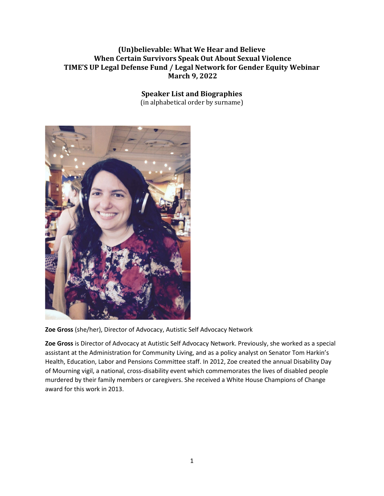## **(Un)believable: What We Hear and Believe When Certain Survivors Speak Out About Sexual Violence TIME'S UP Legal Defense Fund / Legal Network for Gender Equity Webinar March 9, 2022**

## **Speaker List and Biographies**

(in alphabetical order by surname)



**Zoe Gross** (she/her), Director of Advocacy, Autistic Self Advocacy Network

**Zoe Gross** is Director of Advocacy at Autistic Self Advocacy Network. Previously, she worked as a special assistant at the Administration for Community Living, and as a policy analyst on Senator Tom Harkin's Health, Education, Labor and Pensions Committee staff. In 2012, Zoe created the annual Disability Day of Mourning vigil, a national, cross-disability event which commemorates the lives of disabled people murdered by their family members or caregivers. She received a White House Champions of Change award for this work in 2013.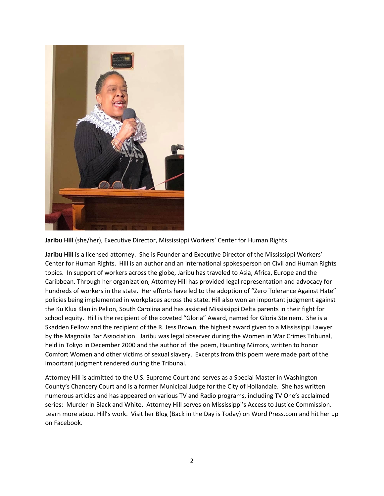

**Jaribu Hill** (she/her), Executive Director, Mississippi Workers' Center for Human Rights

**Jaribu Hill i**s a licensed attorney. She is Founder and Executive Director of the Mississippi Workers' Center for Human Rights. Hill is an author and an international spokesperson on Civil and Human Rights topics. In support of workers across the globe, Jaribu has traveled to Asia, Africa, Europe and the Caribbean. Through her organization, Attorney Hill has provided legal representation and advocacy for hundreds of workers in the state. Her efforts have led to the adoption of "Zero Tolerance Against Hate" policies being implemented in workplaces across the state. Hill also won an important judgment against the Ku Klux Klan in Pelion, South Carolina and has assisted Mississippi Delta parents in their fight for school equity. Hill is the recipient of the coveted "Gloria" Award, named for Gloria Steinem. She is a Skadden Fellow and the recipient of the R. Jess Brown, the highest award given to a Mississippi Lawyer by the Magnolia Bar Association. Jaribu was legal observer during the Women in War Crimes Tribunal, held in Tokyo in December 2000 and the author of the poem, Haunting Mirrors, written to honor Comfort Women and other victims of sexual slavery. Excerpts from this poem were made part of the important judgment rendered during the Tribunal.

Attorney Hill is admitted to the U.S. Supreme Court and serves as a Special Master in Washington County's Chancery Court and is a former Municipal Judge for the City of Hollandale. She has written numerous articles and has appeared on various TV and Radio programs, including TV One's acclaimed series: Murder in Black and White. Attorney Hill serves on Mississippi's Access to Justice Commission. Learn more about Hill's work. Visit her Blog (Back in the Day is Today) on Word Press.com and hit her up on Facebook.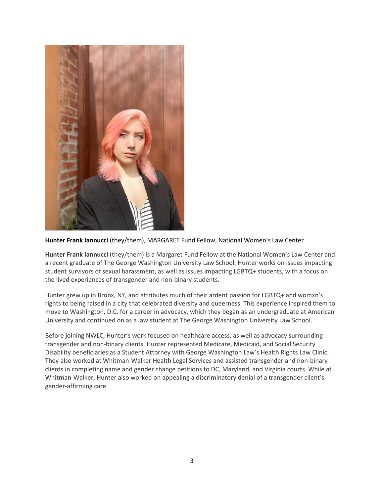

**Hunter Frank Iannucci** (they/them), MARGARET Fund Fellow, National Women's Law Center

**Hunter Frank Iannucci** (they/them) is a Margaret Fund Fellow at the National Women's Law Center and a recent graduate of The George Washington University Law School. Hunter works on issues impacting student survivors of sexual harassment, as well as issues impacting LGBTQ+ students, with a focus on the lived experiences of transgender and non-binary students.

Hunter grew up in Bronx, NY, and attributes much of their ardent passion for LGBTQ+ and womxn's rights to being raised in a city that celebrated diversity and queerness. This experience inspired them to move to Washington, D.C. for a career in advocacy, which they began as an undergraduate at American University and continued on as a law student at The George Washington University Law School.

Before joining NWLC, Hunter's work focused on healthcare access, as well as advocacy surrounding transgender and non-binary clients. Hunter represented Medicare, Medicaid, and Social Security Disability beneficiaries as a Student Attorney with George Washington Law's Health Rights Law Clinic. They also worked at Whitman-Walker Health Legal Services and assisted transgender and non-binary clients in completing name and gender change petitions to DC, Maryland, and Virginia courts. While at Whitman-Walker, Hunter also worked on appealing a discriminatory denial of a transgender client's gender-affirming care.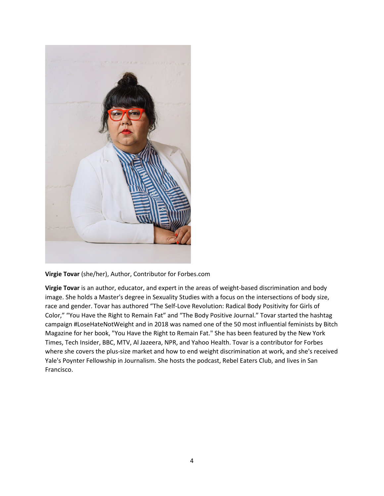

**Virgie Tovar** (she/her), Author, Contributor for Forbes.com

**Virgie Tovar** is an author, educator, and expert in the areas of weight-based discrimination and body image. She holds a Master's degree in Sexuality Studies with a focus on the intersections of body size, race and gender. Tovar has authored "The Self-Love Revolution: Radical Body Positivity for Girls of Color," "You Have the Right to Remain Fat" and "The Body Positive Journal." Tovar started the hashtag campaign #LoseHateNotWeight and in 2018 was named one of the 50 most influential feminists by Bitch Magazine for her book, "You Have the Right to Remain Fat." She has been featured by the New York Times, Tech Insider, BBC, MTV, Al Jazeera, NPR, and Yahoo Health. Tovar is a contributor for Forbes where she covers the plus-size market and how to end weight discrimination at work, and she's received Yale's Poynter Fellowship in Journalism. She hosts the podcast, Rebel Eaters Club, and lives in San Francisco.